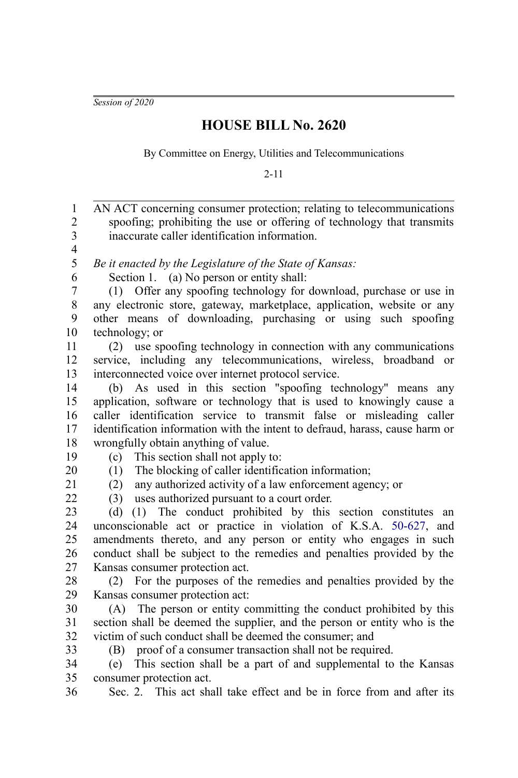*Session of 2020*

## **HOUSE BILL No. 2620**

By Committee on Energy, Utilities and Telecommunications

2-11

AN ACT concerning consumer protection; relating to telecommunications spoofing; prohibiting the use or offering of technology that transmits inaccurate caller identification information. *Be it enacted by the Legislature of the State of Kansas:* Section 1. (a) No person or entity shall: (1) Offer any spoofing technology for download, purchase or use in any electronic store, gateway, marketplace, application, website or any other means of downloading, purchasing or using such spoofing technology; or (2) use spoofing technology in connection with any communications service, including any telecommunications, wireless, broadband or interconnected voice over internet protocol service. (b) As used in this section "spoofing technology" means any application, software or technology that is used to knowingly cause a caller identification service to transmit false or misleading caller identification information with the intent to defraud, harass, cause harm or wrongfully obtain anything of value. (c) This section shall not apply to: (1) The blocking of caller identification information; (2) any authorized activity of a law enforcement agency; or (3) uses authorized pursuant to a court order. (d) (1) The conduct prohibited by this section constitutes an unconscionable act or practice in violation of K.S.A. [50-627,](https://www.ksrevisor.org/statutes/chapters/ch50/050_006_0027.html) and amendments thereto, and any person or entity who engages in such conduct shall be subject to the remedies and penalties provided by the Kansas consumer protection act. (2) For the purposes of the remedies and penalties provided by the Kansas consumer protection act: (A) The person or entity committing the conduct prohibited by this section shall be deemed the supplier, and the person or entity who is the victim of such conduct shall be deemed the consumer; and (B) proof of a consumer transaction shall not be required. (e) This section shall be a part of and supplemental to the Kansas consumer protection act. Sec. 2. This act shall take effect and be in force from and after its 1 2 3 4 5 6 7 8 9 10 11 12 13 14 15 16 17 18 19 20 21 22  $23$ 24 25 26 27 28  $29$ 30 31 32 33 34 35 36